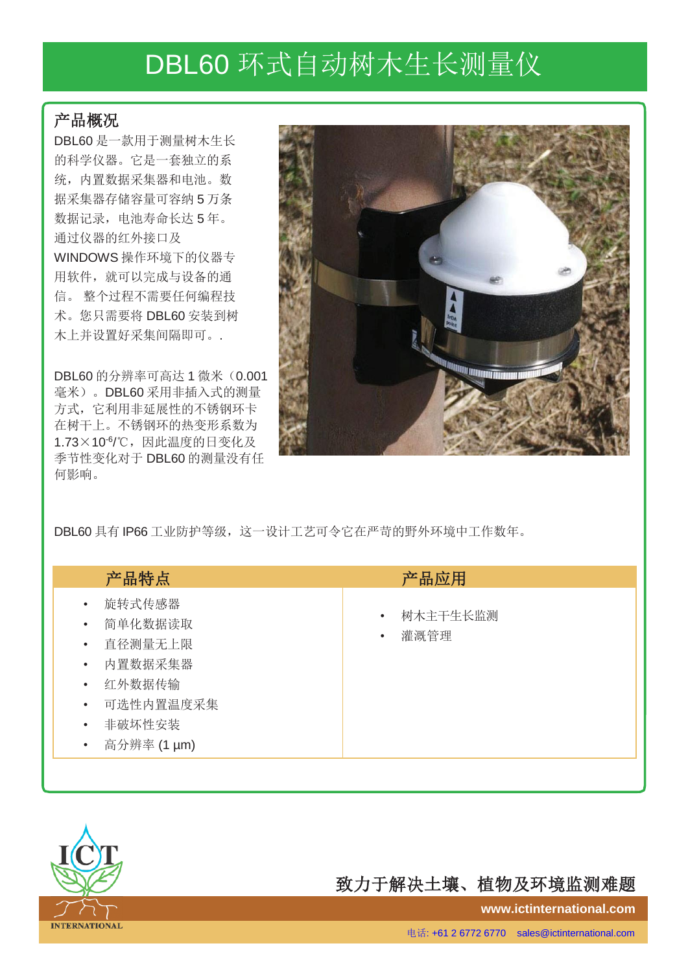# DBL60 环式自动树木生长测量仪

#### 产品概况

DBL60 是一款用于测量树木生长 的科学仪器。它是一套独立的系 统,内置数据采集器和电池。数 据采集器存储容量可容纳 5 万条 数据记录,电池寿命长达5年。 通过仪器的红外接口及 WINDOWS 操作环境下的仪器专 用软件,就可以完成与设备的通 信。 整个过程不需要任何编程技 术。您只需要将 DBL60 安装到树 木上并设置好采集间隔即可。.

DBL60 的分辨率可高达 1 微米 (0.001 毫米)。DBL60 采用非插入式的测量 方式,它利用非延展性的不锈钢环卡 在树干上。不锈钢环的热变形系数为 1.73×10<sup>-6</sup>/℃, 因此温度的日变化及 季节性变化对于 DBL60 的测量没有任 何影响。



DBL60 具有 IP66 工业防护等级,这一设计工艺可令它在严苛的野外环境中工作数年。

| 产品特点                                                                                                                                                                                            | 产品应用                                       |
|-------------------------------------------------------------------------------------------------------------------------------------------------------------------------------------------------|--------------------------------------------|
| 旋转式传感器<br>$\bullet$<br>简单化数据读取<br>$\bullet$<br>直径测量无上限<br>$\bullet$<br>内置数据采集器<br>$\bullet$<br>红外数据传输<br>$\bullet$<br>可选性内置温度采集<br>$\bullet$<br>非破坏性安装<br>$\bullet$<br>高分辨率 (1 µm)<br>$\bullet$ | 树木主干生长监测<br>$\bullet$<br>灌溉管理<br>$\bullet$ |



#### 致力于解决土壤、[植物及环境监测难题](http://www.ictinternational.com/)

 **[www.ictinternational.com](mailto:电话:%20+61%202%206772%206770%20%20%20sales@ictinternational.com)**